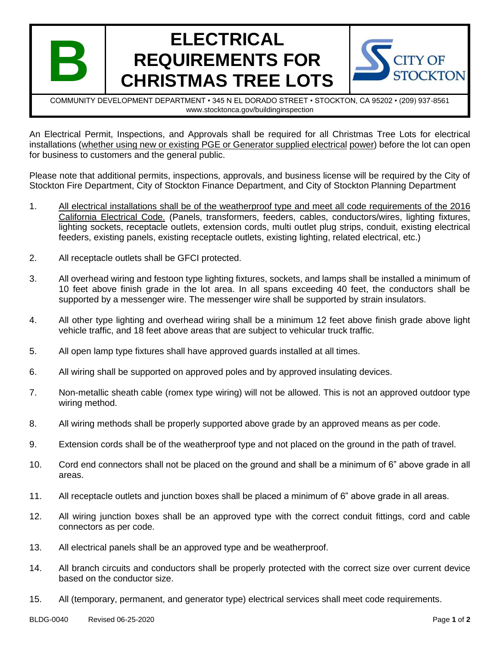

## **ELECTRICAL REQUIREMENTS FOR CHRISTMAS TREE LOTS**



COMMUNITY DEVELOPMENT DEPARTMENT • 345 N EL DORADO STREET • STOCKTON, CA 95202 • (209) 937-8561 www.stocktonca.gov/buildinginspection

An Electrical Permit, Inspections, and Approvals shall be required for all Christmas Tree Lots for electrical installations (whether using new or existing PGE or Generator supplied electrical power) before the lot can open for business to customers and the general public.

Please note that additional permits, inspections, approvals, and business license will be required by the City of Stockton Fire Department, City of Stockton Finance Department, and City of Stockton Planning Department

- 1. All electrical installations shall be of the weatherproof type and meet all code requirements of the 2016 California Electrical Code. (Panels, transformers, feeders, cables, conductors/wires, lighting fixtures, lighting sockets, receptacle outlets, extension cords, multi outlet plug strips, conduit, existing electrical feeders, existing panels, existing receptacle outlets, existing lighting, related electrical, etc.)
- 2. All receptacle outlets shall be GFCI protected.
- 3. All overhead wiring and festoon type lighting fixtures, sockets, and lamps shall be installed a minimum of 10 feet above finish grade in the lot area. In all spans exceeding 40 feet, the conductors shall be supported by a messenger wire. The messenger wire shall be supported by strain insulators.
- 4. All other type lighting and overhead wiring shall be a minimum 12 feet above finish grade above light vehicle traffic, and 18 feet above areas that are subject to vehicular truck traffic.
- 5. All open lamp type fixtures shall have approved guards installed at all times.
- 6. All wiring shall be supported on approved poles and by approved insulating devices.
- 7. Non-metallic sheath cable (romex type wiring) will not be allowed. This is not an approved outdoor type wiring method.
- 8. All wiring methods shall be properly supported above grade by an approved means as per code.
- 9. Extension cords shall be of the weatherproof type and not placed on the ground in the path of travel.
- 10. Cord end connectors shall not be placed on the ground and shall be a minimum of 6" above grade in all areas.
- 11. All receptacle outlets and junction boxes shall be placed a minimum of 6" above grade in all areas.
- 12. All wiring junction boxes shall be an approved type with the correct conduit fittings, cord and cable connectors as per code.
- 13. All electrical panels shall be an approved type and be weatherproof.
- 14. All branch circuits and conductors shall be properly protected with the correct size over current device based on the conductor size.
- 15. All (temporary, permanent, and generator type) electrical services shall meet code requirements.